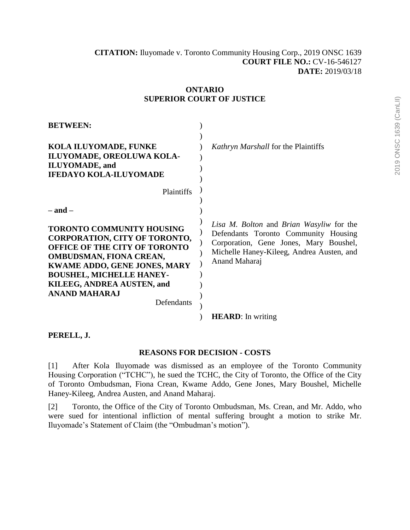| <b>BETWEEN:</b>                                                                                                                                                                                                                                                                                  |                                                                                                                                                                                          |
|--------------------------------------------------------------------------------------------------------------------------------------------------------------------------------------------------------------------------------------------------------------------------------------------------|------------------------------------------------------------------------------------------------------------------------------------------------------------------------------------------|
| <b>KOLA ILUYOMADE, FUNKE</b><br>ILUYOMADE, OREOLUWA KOLA-<br><b>ILUYOMADE</b> , and<br><b>IFEDAYO KOLA-ILUYOMADE</b>                                                                                                                                                                             | <i>Kathryn Marshall</i> for the Plaintiffs                                                                                                                                               |
| Plaintiffs                                                                                                                                                                                                                                                                                       |                                                                                                                                                                                          |
| $-$ and $-$                                                                                                                                                                                                                                                                                      |                                                                                                                                                                                          |
| <b>TORONTO COMMUNITY HOUSING</b><br><b>CORPORATION, CITY OF TORONTO,</b><br><b>OFFICE OF THE CITY OF TORONTO</b><br><b>OMBUDSMAN, FIONA CREAN,</b><br><b>KWAME ADDO, GENE JONES, MARY</b><br><b>BOUSHEL, MICHELLE HANEY-</b><br>KILEEG, ANDREA AUSTEN, and<br><b>ANAND MAHARAJ</b><br>Defendants | Lisa M. Bolton and Brian Wasyliw for the<br>Defendants Toronto Community Housing<br>Corporation, Gene Jones, Mary Boushel,<br>Michelle Haney-Kileeg, Andrea Austen, and<br>Anand Maharaj |
|                                                                                                                                                                                                                                                                                                  | <b>HEARD</b> : In writing                                                                                                                                                                |

# **ONTARIO SUPERIOR COURT OF JUSTICE**

**PERELL, J.**

#### **REASONS FOR DECISION - COSTS**

[1] After Kola Iluyomade was dismissed as an employee of the Toronto Community Housing Corporation ("TCHC"), he sued the TCHC, the City of Toronto, the Office of the City of Toronto Ombudsman, Fiona Crean, Kwame Addo, Gene Jones, Mary Boushel, Michelle Haney-Kileeg, Andrea Austen, and Anand Maharaj.

[2] Toronto, the Office of the City of Toronto Ombudsman, Ms. Crean, and Mr. Addo, who were sued for intentional infliction of mental suffering brought a motion to strike Mr. Iluyomade's Statement of Claim (the "Ombudman's motion").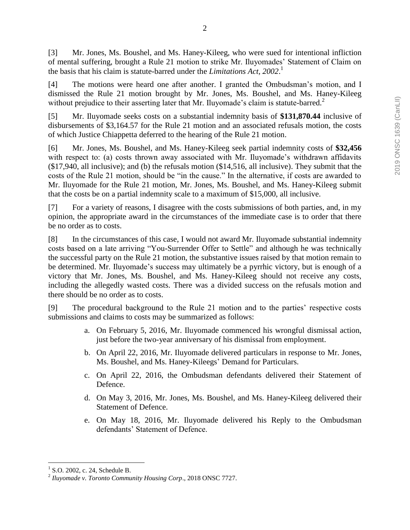[3] Mr. Jones, Ms. Boushel, and Ms. Haney-Kileeg, who were sued for intentional infliction of mental suffering, brought a Rule 21 motion to strike Mr. Iluyomades' Statement of Claim on the basis that his claim is statute-barred under the *Limitations Act, 2002*. 1

[4] The motions were heard one after another. I granted the Ombudsman's motion, and I dismissed the Rule 21 motion brought by Mr. Jones, Ms. Boushel, and Ms. Haney-Kileeg without prejudice to their asserting later that Mr. Iluyomade's claim is statute-barred.<sup>2</sup>

[5] Mr. Iluyomade seeks costs on a substantial indemnity basis of **\$131,870.44** inclusive of disbursements of \$3,164.57 for the Rule 21 motion and an associated refusals motion, the costs of which Justice Chiappetta deferred to the hearing of the Rule 21 motion.

[6] Mr. Jones, Ms. Boushel, and Ms. Haney-Kileeg seek partial indemnity costs of **\$32,456** with respect to: (a) costs thrown away associated with Mr. Iluyomade's withdrawn affidavits (\$17,940, all inclusive); and (b) the refusals motion (\$14,516, all inclusive). They submit that the costs of the Rule 21 motion, should be "in the cause." In the alternative, if costs are awarded to Mr. Iluyomade for the Rule 21 motion, Mr. Jones, Ms. Boushel, and Ms. Haney-Kileeg submit that the costs be on a partial indemnity scale to a maximum of \$15,000, all inclusive.

[7] For a variety of reasons, I disagree with the costs submissions of both parties, and, in my opinion, the appropriate award in the circumstances of the immediate case is to order that there be no order as to costs.

[8] In the circumstances of this case, I would not award Mr. Iluyomade substantial indemnity costs based on a late arriving "You-Surrender Offer to Settle" and although he was technically the successful party on the Rule 21 motion, the substantive issues raised by that motion remain to be determined. Mr. Iluyomade's success may ultimately be a pyrrhic victory, but is enough of a victory that Mr. Jones, Ms. Boushel, and Ms. Haney-Kileeg should not receive any costs, including the allegedly wasted costs. There was a divided success on the refusals motion and there should be no order as to costs.

[9] The procedural background to the Rule 21 motion and to the parties' respective costs submissions and claims to costs may be summarized as follows:

- a. On February 5, 2016, Mr. Iluyomade commenced his wrongful dismissal action, just before the two-year anniversary of his dismissal from employment.
- b. On April 22, 2016, Mr. Iluyomade delivered particulars in response to Mr. Jones, Ms. Boushel, and Ms. Haney-Kileegs' Demand for Particulars.
- c. On April 22, 2016, the Ombudsman defendants delivered their Statement of Defence.
- d. On May 3, 2016, Mr. Jones, Ms. Boushel, and Ms. Haney-Kileeg delivered their Statement of Defence.
- e. On May 18, 2016, Mr. Iluyomade delivered his Reply to the Ombudsman defendants' Statement of Defence.

 $\overline{a}$ <sup>1</sup> S.O. 2002, c. 24, Schedule B.

<sup>2</sup> *Iluyomade v. Toronto Community Housing Corp*., 2018 ONSC 7727.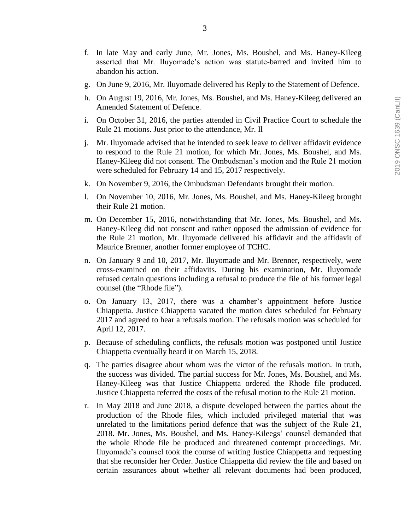- g. On June 9, 2016, Mr. Iluyomade delivered his Reply to the Statement of Defence.
- h. On August 19, 2016, Mr. Jones, Ms. Boushel, and Ms. Haney-Kileeg delivered an Amended Statement of Defence.
- i. On October 31, 2016, the parties attended in Civil Practice Court to schedule the Rule 21 motions. Just prior to the attendance, Mr. Il
- j. Mr. Iluyomade advised that he intended to seek leave to deliver affidavit evidence to respond to the Rule 21 motion, for which Mr. Jones, Ms. Boushel, and Ms. Haney-Kileeg did not consent. The Ombudsman's motion and the Rule 21 motion were scheduled for February 14 and 15, 2017 respectively.
- k. On November 9, 2016, the Ombudsman Defendants brought their motion.
- l. On November 10, 2016, Mr. Jones, Ms. Boushel, and Ms. Haney-Kileeg brought their Rule 21 motion.
- m. On December 15, 2016, notwithstanding that Mr. Jones, Ms. Boushel, and Ms. Haney-Kileeg did not consent and rather opposed the admission of evidence for the Rule 21 motion, Mr. Iluyomade delivered his affidavit and the affidavit of Maurice Brenner, another former employee of TCHC.
- n. On January 9 and 10, 2017, Mr. Iluyomade and Mr. Brenner, respectively, were cross-examined on their affidavits. During his examination, Mr. Iluyomade refused certain questions including a refusal to produce the file of his former legal counsel (the "Rhode file").
- o. On January 13, 2017, there was a chamber's appointment before Justice Chiappetta. Justice Chiappetta vacated the motion dates scheduled for February 2017 and agreed to hear a refusals motion. The refusals motion was scheduled for April 12, 2017.
- p. Because of scheduling conflicts, the refusals motion was postponed until Justice Chiappetta eventually heard it on March 15, 2018.
- q. The parties disagree about whom was the victor of the refusals motion. In truth, the success was divided. The partial success for Mr. Jones, Ms. Boushel, and Ms. Haney-Kileeg was that Justice Chiappetta ordered the Rhode file produced. Justice Chiappetta referred the costs of the refusal motion to the Rule 21 motion.
- r. In May 2018 and June 2018, a dispute developed between the parties about the production of the Rhode files, which included privileged material that was unrelated to the limitations period defence that was the subject of the Rule 21, 2018. Mr. Jones, Ms. Boushel, and Ms. Haney-Kileegs' counsel demanded that the whole Rhode file be produced and threatened contempt proceedings. Mr. Iluyomade's counsel took the course of writing Justice Chiappetta and requesting that she reconsider her Order. Justice Chiappetta did review the file and based on certain assurances about whether all relevant documents had been produced,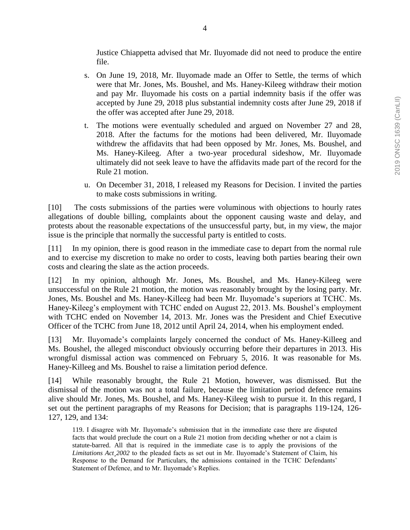Justice Chiappetta advised that Mr. Iluyomade did not need to produce the entire file.

- s. On June 19, 2018, Mr. Iluyomade made an Offer to Settle, the terms of which were that Mr. Jones, Ms. Boushel, and Ms. Haney-Kileeg withdraw their motion and pay Mr. Iluyomade his costs on a partial indemnity basis if the offer was accepted by June 29, 2018 plus substantial indemnity costs after June 29, 2018 if the offer was accepted after June 29, 2018.
- t. The motions were eventually scheduled and argued on November 27 and 28, 2018. After the factums for the motions had been delivered, Mr. Iluyomade withdrew the affidavits that had been opposed by Mr. Jones, Ms. Boushel, and Ms. Haney-Kileeg. After a two-year procedural sideshow, Mr. Iluyomade ultimately did not seek leave to have the affidavits made part of the record for the Rule 21 motion.
- u. On December 31, 2018, I released my Reasons for Decision. I invited the parties to make costs submissions in writing.

[10] The costs submissions of the parties were voluminous with objections to hourly rates allegations of double billing, complaints about the opponent causing waste and delay, and protests about the reasonable expectations of the unsuccessful party, but, in my view, the major issue is the principle that normally the successful party is entitled to costs.

[11] In my opinion, there is good reason in the immediate case to depart from the normal rule and to exercise my discretion to make no order to costs, leaving both parties bearing their own costs and clearing the slate as the action proceeds.

[12] In my opinion, although Mr. Jones, Ms. Boushel, and Ms. Haney-Kileeg were unsuccessful on the Rule 21 motion, the motion was reasonably brought by the losing party. Mr. Jones, Ms. Boushel and Ms. Haney-Killeeg had been Mr. Iluyomade's superiors at TCHC. Ms. Haney-Kileeg's employment with TCHC ended on August 22, 2013. Ms. Boushel's employment with TCHC ended on November 14, 2013. Mr. Jones was the President and Chief Executive Officer of the TCHC from June 18, 2012 until April 24, 2014, when his employment ended.

[13] Mr. Iluyomade's complaints largely concerned the conduct of Ms. Haney-Killeeg and Ms. Boushel, the alleged misconduct obviously occurring before their departures in 2013. His wrongful dismissal action was commenced on February 5, 2016. It was reasonable for Ms. Haney-Killeeg and Ms. Boushel to raise a limitation period defence.

[14] While reasonably brought, the Rule 21 Motion, however, was dismissed. But the dismissal of the motion was not a total failure, because the limitation period defence remains alive should Mr. Jones, Ms. Boushel, and Ms. Haney-Kileeg wish to pursue it. In this regard, I set out the pertinent paragraphs of my Reasons for Decision; that is paragraphs 119-124, 126- 127, 129, and 134:

119. I disagree with Mr. Iluyomade's submission that in the immediate case there are disputed facts that would preclude the court on a Rule 21 motion from deciding whether or not a claim is statute-barred. All that is required in the immediate case is to apply the provisions of the *Limitations Act¸2002* to the pleaded facts as set out in Mr. Iluyomade's Statement of Claim, his Response to the Demand for Particulars, the admissions contained in the TCHC Defendants' Statement of Defence, and to Mr. Iluyomade's Replies.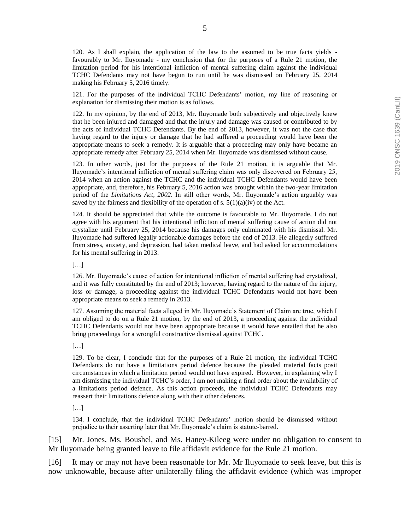120. As I shall explain, the application of the law to the assumed to be true facts yields favourably to Mr. Iluyomade - my conclusion that for the purposes of a Rule 21 motion, the limitation period for his intentional infliction of mental suffering claim against the individual TCHC Defendants may not have begun to run until he was dismissed on February 25, 2014 making his February 5, 2016 timely.

121. For the purposes of the individual TCHC Defendants' motion, my line of reasoning or explanation for dismissing their motion is as follows.

122. In my opinion, by the end of 2013, Mr. Iluyomade both subjectively and objectively knew that he been injured and damaged and that the injury and damage was caused or contributed to by the acts of individual TCHC Defendants. By the end of 2013, however, it was not the case that having regard to the injury or damage that he had suffered a proceeding would have been the appropriate means to seek a remedy. It is arguable that a proceeding may only have became an appropriate remedy after February 25, 2014 when Mr. Iluyomade was dismissed without cause.

123. In other words, just for the purposes of the Rule 21 motion, it is arguable that Mr. Iluyomade's intentional infliction of mental suffering claim was only discovered on February 25, 2014 when an action against the TCHC and the individual TCHC Defendants would have been appropriate, and, therefore, his February 5, 2016 action was brought within the two-year limitation period of the *Limitations Act, 2002*. In still other words, Mr. Iluyomade's action arguably was saved by the fairness and flexibility of the operation of s.  $5(1)(a)(iv)$  of the Act.

124. It should be appreciated that while the outcome is favourable to Mr. Iluyomade, I do not agree with his argument that his intentional infliction of mental suffering cause of action did not crystalize until February 25, 2014 because his damages only culminated with his dismissal. Mr. Iluyomade had suffered legally actionable damages before the end of 2013. He allegedly suffered from stress, anxiety, and depression, had taken medical leave, and had asked for accommodations for his mental suffering in 2013.

[…]

126. Mr. Iluyomade's cause of action for intentional infliction of mental suffering had crystalized, and it was fully constituted by the end of 2013; however, having regard to the nature of the injury, loss or damage, a proceeding against the individual TCHC Defendants would not have been appropriate means to seek a remedy in 2013.

127. Assuming the material facts alleged in Mr. Iluyomade's Statement of Claim are true, which I am obliged to do on a Rule 21 motion, by the end of 2013, a proceeding against the individual TCHC Defendants would not have been appropriate because it would have entailed that he also bring proceedings for a wrongful constructive dismissal against TCHC.

[…]

129. To be clear, I conclude that for the purposes of a Rule 21 motion, the individual TCHC Defendants do not have a limitations period defence because the pleaded material facts posit circumstances in which a limitation period would not have expired. However, in explaining why I am dismissing the individual TCHC's order, I am not making a final order about the availability of a limitations period defence. As this action proceeds, the individual TCHC Defendants may reassert their limitations defence along with their other defences.

[…]

134. I conclude, that the individual TCHC Defendants' motion should be dismissed without prejudice to their asserting later that Mr. Iluyomade's claim is statute-barred.

[15] Mr. Jones, Ms. Boushel, and Ms. Haney-Kileeg were under no obligation to consent to Mr Iluyomade being granted leave to file affidavit evidence for the Rule 21 motion.

[16] It may or may not have been reasonable for Mr. Mr Iluyomade to seek leave, but this is now unknowable, because after unilaterally filing the affidavit evidence (which was improper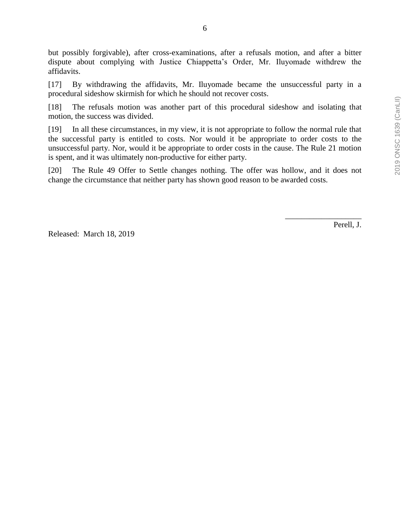6

but possibly forgivable), after cross-examinations, after a refusals motion, and after a bitter dispute about complying with Justice Chiappetta's Order, Mr. Iluyomade withdrew the affidavits.

[17] By withdrawing the affidavits, Mr. Iluyomade became the unsuccessful party in a procedural sideshow skirmish for which he should not recover costs.

[18] The refusals motion was another part of this procedural sideshow and isolating that motion, the success was divided.

[19] In all these circumstances, in my view, it is not appropriate to follow the normal rule that the successful party is entitled to costs. Nor would it be appropriate to order costs to the unsuccessful party. Nor, would it be appropriate to order costs in the cause. The Rule 21 motion is spent, and it was ultimately non-productive for either party.

[20] The Rule 49 Offer to Settle changes nothing. The offer was hollow, and it does not change the circumstance that neither party has shown good reason to be awarded costs.

Released: March 18, 2019

Perell, J.

\_\_\_\_\_\_\_\_\_\_\_\_\_\_\_\_\_\_\_